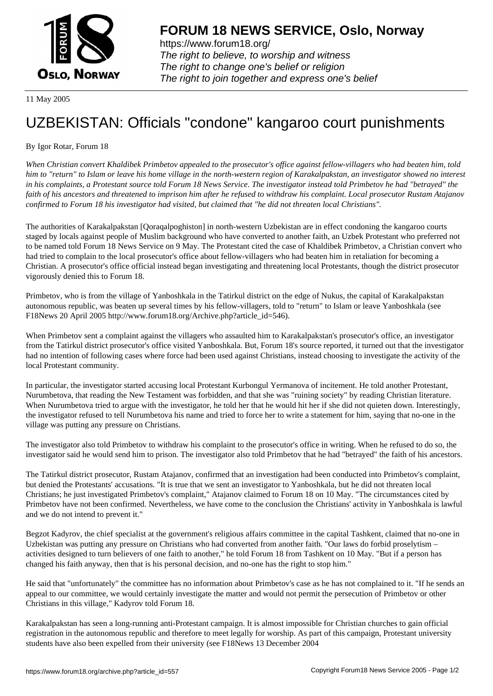

https://www.forum18.org/ The right to believe, to worship and witness The right to change one's belief or religion [The right to join together a](https://www.forum18.org/)nd express one's belief

11 May 2005

## [UZBEKISTAN:](https://www.forum18.org) Officials "condone" kangaroo court punishments

## By Igor Rotar, Forum 18

*When Christian convert Khaldibek Primbetov appealed to the prosecutor's office against fellow-villagers who had beaten him, told him to "return" to Islam or leave his home village in the north-western region of Karakalpakstan, an investigator showed no interest in his complaints, a Protestant source told Forum 18 News Service. The investigator instead told Primbetov he had "betrayed" the faith of his ancestors and threatened to imprison him after he refused to withdraw his complaint. Local prosecutor Rustam Atajanov confirmed to Forum 18 his investigator had visited, but claimed that "he did not threaten local Christians".*

The authorities of Karakalpakstan [Qoraqalpoghiston] in north-western Uzbekistan are in effect condoning the kangaroo courts staged by locals against people of Muslim background who have converted to another faith, an Uzbek Protestant who preferred not to be named told Forum 18 News Service on 9 May. The Protestant cited the case of Khaldibek Primbetov, a Christian convert who had tried to complain to the local prosecutor's office about fellow-villagers who had beaten him in retaliation for becoming a Christian. A prosecutor's office official instead began investigating and threatening local Protestants, though the district prosecutor vigorously denied this to Forum 18.

Primbetov, who is from the village of Yanboshkala in the Tatirkul district on the edge of Nukus, the capital of Karakalpakstan autonomous republic, was beaten up several times by his fellow-villagers, told to "return" to Islam or leave Yanboshkala (see F18News 20 April 2005 http://www.forum18.org/Archive.php?article\_id=546).

When Primbetov sent a complaint against the villagers who assaulted him to Karakalpakstan's prosecutor's office, an investigator from the Tatirkul district prosecutor's office visited Yanboshkala. But, Forum 18's source reported, it turned out that the investigator had no intention of following cases where force had been used against Christians, instead choosing to investigate the activity of the local Protestant community.

In particular, the investigator started accusing local Protestant Kurbongul Yermanova of incitement. He told another Protestant, Nurumbetova, that reading the New Testament was forbidden, and that she was "ruining society" by reading Christian literature. When Nurumbetova tried to argue with the investigator, he told her that he would hit her if she did not quieten down. Interestingly, the investigator refused to tell Nurumbetova his name and tried to force her to write a statement for him, saying that no-one in the village was putting any pressure on Christians.

The investigator also told Primbetov to withdraw his complaint to the prosecutor's office in writing. When he refused to do so, the investigator said he would send him to prison. The investigator also told Primbetov that he had "betrayed" the faith of his ancestors.

The Tatirkul district prosecutor, Rustam Atajanov, confirmed that an investigation had been conducted into Primbetov's complaint, but denied the Protestants' accusations. "It is true that we sent an investigator to Yanboshkala, but he did not threaten local Christians; he just investigated Primbetov's complaint," Atajanov claimed to Forum 18 on 10 May. "The circumstances cited by Primbetov have not been confirmed. Nevertheless, we have come to the conclusion the Christians' activity in Yanboshkala is lawful and we do not intend to prevent it."

Begzot Kadyrov, the chief specialist at the government's religious affairs committee in the capital Tashkent, claimed that no-one in Uzbekistan was putting any pressure on Christians who had converted from another faith. "Our laws do forbid proselytism – activities designed to turn believers of one faith to another," he told Forum 18 from Tashkent on 10 May. "But if a person has changed his faith anyway, then that is his personal decision, and no-one has the right to stop him."

He said that "unfortunately" the committee has no information about Primbetov's case as he has not complained to it. "If he sends an appeal to our committee, we would certainly investigate the matter and would not permit the persecution of Primbetov or other Christians in this village," Kadyrov told Forum 18.

Karakalpakstan has seen a long-running anti-Protestant campaign. It is almost impossible for Christian churches to gain official registration in the autonomous republic and therefore to meet legally for worship. As part of this campaign, Protestant university students have also been expelled from their university (see F18News 13 December 2004